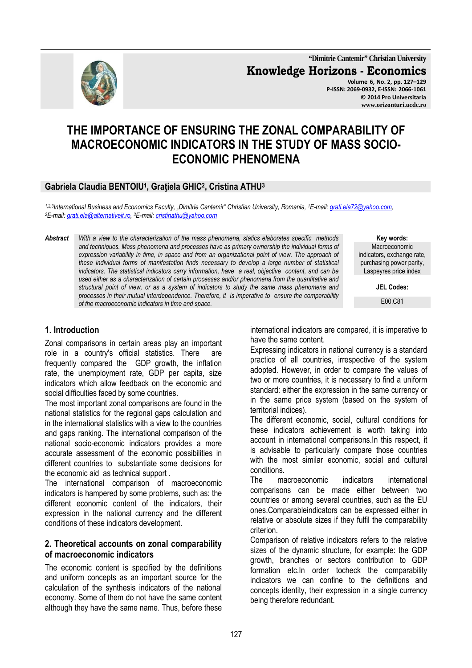

**"Dimitrie Cantemir" Christian University Knowledge Horizons - Economics Volume 6, No. 2, pp. 127–129 P-ISSN: 2069-0932, E-ISSN: 2066-1061 © 2014 Pro Universitaria www.orizonturi.ucdc.ro**

# **THE IMPORTANCE OF ENSURING THE ZONAL COMPARABILITY OF MACROECONOMIC INDICATORS IN THE STUDY OF MASS SOCIO-ECONOMIC PHENOMENA**

## **Gabriela Claudia BENTOIU<sup>1</sup> , Graţiela GHIC<sup>2</sup> , Cristina ATHU<sup>3</sup>**

*1,2,3International Business and Economics Faculty, "Dimitrie Cantemir" Christian University, Romania, <sup>1</sup>E-mail: grati.ela72@yahoo.com, <sup>2</sup>E-mail: grati.ela@alternativeit.ro, <sup>3</sup>E-mail: cristinathu@yahoo.com*

*Abstract With a view to the characterization of the mass phenomena, statics elaborates specific methods and techniques. Mass phenomena and processes have as primary ownership the individual forms of*  expression variability in time, in space and from an organizational point of view. The approach of *these individual forms of manifestation finds necessary to develop a large number of statistical indicators. The statistical indicators carry information, have a real, objective content, and can be used either as a characterization of certain processes and/or phenomena from the quantitative and structural point of view, or as a system of indicators to study the same mass phenomena and processes in their mutual interdependence. Therefore, it is imperative to ensure the comparability of the macroeconomic indicators in time and space.* 

**Key words:** Macroeconomic indicators, exchange rate, purchasing power parity, Laspeyres price index

**JEL Codes:**

E00,C81

## **1. Introduction**

Zonal comparisons in certain areas play an important role in a country's official statistics. There are frequently compared the GDP growth, the inflation rate, the unemployment rate, GDP per capita, size indicators which allow feedback on the economic and social difficulties faced by some countries.

The most important zonal comparisons are found in the national statistics for the regional gaps calculation and in the international statistics with a view to the countries and gaps ranking. The international comparison of the national socio-economic indicators provides a more accurate assessment of the economic possibilities in different countries to substantiate some decisions for the economic aid as technical support .

The international comparison of macroeconomic indicators is hampered by some problems, such as: the different economic content of the indicators, their expression in the national currency and the different conditions of these indicators development.

#### **2. Theoretical accounts on zonal comparability of macroeconomic indicators**

The economic content is specified by the definitions and uniform concepts as an important source for the calculation of the synthesis indicators of the national economy. Some of them do not have the same content although they have the same name. Thus, before these international indicators are compared, it is imperative to have the same content.

Expressing indicators in national currency is a standard practice of all countries, irrespective of the system adopted. However, in order to compare the values of two or more countries, it is necessary to find a uniform standard: either the expression in the same currency or in the same price system (based on the system of territorial indices).

The different economic, social, cultural conditions for these indicators achievement is worth taking into account in international comparisons.In this respect, it is advisable to particularly compare those countries with the most similar economic, social and cultural conditions.

The macroeconomic indicators international comparisons can be made either between two countries or among several countries, such as the EU ones.Comparableindicators can be expressed either in relative or absolute sizes if they fulfil the comparability criterion.

Comparison of relative indicators refers to the relative sizes of the dynamic structure, for example: the GDP growth, branches or sectors contribution to GDP formation etc.In order tocheck the comparability indicators we can confine to the definitions and concepts identity, their expression in a single currency being therefore redundant.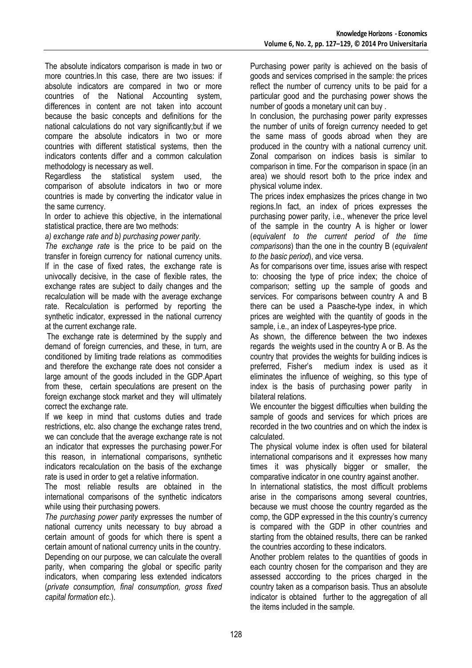The absolute indicators comparison is made in two or more countries.In this case, there are two issues: if absolute indicators are compared in two or more countries of the National Accounting system, differences in content are not taken into account because the basic concepts and definitions for the national calculations do not vary significantly;but if we compare the absolute indicators in two or more countries with different statistical systems, then the indicators contents differ and a common calculation methodology is necessary as well.

Regardless the statistical system used, the comparison of absolute indicators in two or more countries is made by converting the indicator value in the same currency.

In order to achieve this objective, in the international statistical practice, there are two methods:

*a) exchange rate and b) purchasing power parity.* 

*The exchange rate* is the price to be paid on the transfer in foreign currency for national currency units. If in the case of fixed rates, the exchange rate is univocally decisive, in the case of flexible rates, the exchange rates are subject to daily changes and the recalculation will be made with the average exchange rate. Recalculation is performed by reporting the synthetic indicator, expressed in the national currency at the current exchange rate.

 The exchange rate is determined by the supply and demand of foreign currencies, and these, in turn, are conditioned by limiting trade relations as commodities and therefore the exchange rate does not consider a large amount of the goods included in the GDP.Apart from these, certain speculations are present on the foreign exchange stock market and they will ultimately correct the exchange rate.

If we keep in mind that customs duties and trade restrictions, etc. also change the exchange rates trend, we can conclude that the average exchange rate is not an indicator that expresses the purchasing power.For this reason, in international comparisons, synthetic indicators recalculation on the basis of the exchange rate is used in order to get a relative information.

The most reliable results are obtained in the international comparisons of the synthetic indicators while using their purchasing powers.

*The purchasing power parity* expresses the number of national currency units necessary to buy abroad a certain amount of goods for which there is spent a certain amount of national currency units in the country. Depending on our purpose, we can calculate the overall parity, when comparing the global or specific parity indicators, when comparing less extended indicators (*private consumption, final consumption, gross fixed capital formation etc*.).

Purchasing power parity is achieved on the basis of goods and services comprised in the sample: the prices reflect the number of currency units to be paid for a particular good and the purchasing power shows the number of goods a monetary unit can buy .

In conclusion, the purchasing power parity expresses the number of units of foreign currency needed to get the same mass of goods abroad when they are produced in the country with a national currency unit. Zonal comparison on indices basis is similar to comparison in time. For the comparison in space (in an area) we should resort both to the price index and physical volume index.

The prices index emphasizes the prices change in two regions.In fact, an index of prices expresses the purchasing power parity, i.e., whenever the price level of the sample in the country A is higher or lower (*equivalent to the current period of the time comparisons*) than the one in the country B (*equivalent to the basic period*), and vice versa.

As for comparisons over time, issues arise with respect to: choosing the type of price index; the choice of comparison; setting up the sample of goods and services. For comparisons between country A and B there can be used a Paasche-type index, in which prices are weighted with the quantity of goods in the sample, i.e., an index of Laspeyres-type price.

As shown, the difference between the two indexes regards the weights used in the country A or B. As the country that provides the weights for building indices is preferred, Fisher's medium index is used as it eliminates the influence of weighing, so this type of index is the basis of purchasing power parity in bilateral relations.

We encounter the biggest difficulties when building the sample of goods and services for which prices are recorded in the two countries and on which the index is calculated.

The physical volume index is often used for bilateral international comparisons and it expresses how many times it was physically bigger or smaller, the comparative indicator in one country against another.

In international statistics, the most difficult problems arise in the comparisons among several countries, because we must choose the country regarded as the comp, the GDP expressed in the this country's currency is compared with the GDP in other countries and starting from the obtained results, there can be ranked the countries according to these indicators.

Another problem relates to the quantities of goods in each country chosen for the comparison and they are assessed acccording to the prices charged in the country taken as a comparison basis. Thus an absolute indicator is obtained further to the aggregation of all the items included in the sample.